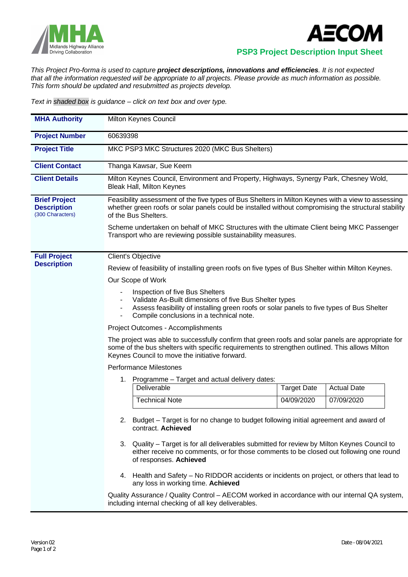



 **PSP3 Project Description Input Sheet**

*This Project Pro-forma is used to capture project descriptions, innovations and efficiencies. It is not expected that all the information requested will be appropriate to all projects. Please provide as much information as possible. This form should be updated and resubmitted as projects develop.*

*Text in shaded box is guidance – click on text box and over type.*

| <b>MHA Authority</b>                                           | Milton Keynes Council                                                                                                                                                                                                                                                                                                                                                                             |  |  |  |
|----------------------------------------------------------------|---------------------------------------------------------------------------------------------------------------------------------------------------------------------------------------------------------------------------------------------------------------------------------------------------------------------------------------------------------------------------------------------------|--|--|--|
| <b>Project Number</b>                                          | 60639398                                                                                                                                                                                                                                                                                                                                                                                          |  |  |  |
| <b>Project Title</b>                                           | MKC PSP3 MKC Structures 2020 (MKC Bus Shelters)                                                                                                                                                                                                                                                                                                                                                   |  |  |  |
| <b>Client Contact</b>                                          | Thanga Kawsar, Sue Keem                                                                                                                                                                                                                                                                                                                                                                           |  |  |  |
| <b>Client Details</b>                                          | Milton Keynes Council, Environment and Property, Highways, Synergy Park, Chesney Wold,<br><b>Bleak Hall, Milton Keynes</b>                                                                                                                                                                                                                                                                        |  |  |  |
| <b>Brief Project</b><br><b>Description</b><br>(300 Characters) | Feasibility assessment of the five types of Bus Shelters in Milton Keynes with a view to assessing<br>whether green roofs or solar panels could be installed without compromising the structural stability<br>of the Bus Shelters.<br>Scheme undertaken on behalf of MKC Structures with the ultimate Client being MKC Passenger<br>Transport who are reviewing possible sustainability measures. |  |  |  |
|                                                                |                                                                                                                                                                                                                                                                                                                                                                                                   |  |  |  |
| <b>Full Project</b><br><b>Description</b>                      | Client's Objective                                                                                                                                                                                                                                                                                                                                                                                |  |  |  |
|                                                                | Review of feasibility of installing green roofs on five types of Bus Shelter within Milton Keynes.                                                                                                                                                                                                                                                                                                |  |  |  |
|                                                                | Our Scope of Work                                                                                                                                                                                                                                                                                                                                                                                 |  |  |  |
|                                                                | Inspection of five Bus Shelters<br>Validate As-Built dimensions of five Bus Shelter types<br>Assess feasibility of installing green roofs or solar panels to five types of Bus Shelter<br>Compile conclusions in a technical note.                                                                                                                                                                |  |  |  |
|                                                                | Project Outcomes - Accomplishments                                                                                                                                                                                                                                                                                                                                                                |  |  |  |
|                                                                | The project was able to successfully confirm that green roofs and solar panels are appropriate for<br>some of the bus shelters with specific requirements to strengthen outlined. This allows Milton<br>Keynes Council to move the initiative forward.                                                                                                                                            |  |  |  |
|                                                                | <b>Performance Milestones</b>                                                                                                                                                                                                                                                                                                                                                                     |  |  |  |
|                                                                | Programme - Target and actual delivery dates:<br>1.                                                                                                                                                                                                                                                                                                                                               |  |  |  |
|                                                                | Deliverable<br><b>Actual Date</b><br><b>Target Date</b>                                                                                                                                                                                                                                                                                                                                           |  |  |  |
|                                                                | <b>Technical Note</b><br>04/09/2020<br>07/09/2020                                                                                                                                                                                                                                                                                                                                                 |  |  |  |
|                                                                | Budget – Target is for no change to budget following initial agreement and award of<br>2.<br>contract. Achieved                                                                                                                                                                                                                                                                                   |  |  |  |
|                                                                | 3. Quality – Target is for all deliverables submitted for review by Milton Keynes Council to<br>either receive no comments, or for those comments to be closed out following one round<br>of responses. Achieved                                                                                                                                                                                  |  |  |  |
|                                                                | 4. Health and Safety – No RIDDOR accidents or incidents on project, or others that lead to<br>any loss in working time. Achieved                                                                                                                                                                                                                                                                  |  |  |  |
|                                                                | Quality Assurance / Quality Control - AECOM worked in accordance with our internal QA system,<br>including internal checking of all key deliverables.                                                                                                                                                                                                                                             |  |  |  |